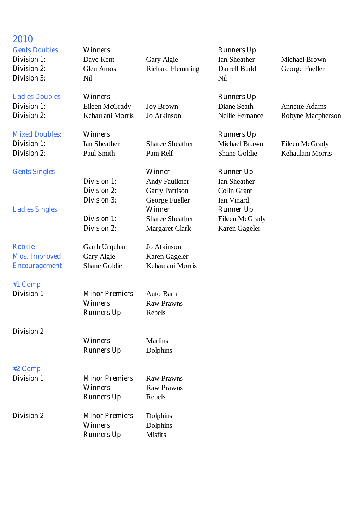# **2010**

**Division 3:** Nil Nil

**Ladies Doubles Winners Winners Runners Runners Up** 

**Mixed Doubles: Winners Winners Runners Up** 

**Rookie** Garth Urquhart Jo Atkinson **Most Improved** Gary Algie Karen Gageler **Encouragement** Shane Goldie Kehaulani Morris

## **#1 Comp**

**Division 2**

- 
- **#2 Comp**
- 

**Division 1 Minor Premiers** Raw Prawns

**Division 2 Minor Premiers** Dolphins

**Division 1 Minor Premiers** Auto Barn **Winners** Raw Prawns

**Runners Up** Rebels

**Winners** Marlins **Runners Up** Dolphins

**Winners** Raw Prawns

**Runners Up** Rebels

**Winners** Dolphins **Runners Up** Misfits

**Division 1:** Ian Sheather Sharee Sheather Michael Brown Eileen McGrady

**Gents Singles Winner Runner Up Division 1:** Andy Faulkner Ian Sheather **Division 2:** Garry Pattison Colin Grant **Division 3:** George Fueller Ian Vinard **Ladies Singles Winner Runner Up Division 1:** Sharee Sheather Eileen McGrady

**Gents Doubles Winners Winners Runners Runners Up** 

**Division 1:** Dave Kent Gary Algie Ian Sheather Michael Brown **Division 2:** Glen Amos Richard Flemming Darrell Budd George Fueller

**Division 1:** Eileen McGrady Joy Brown Diane Seath Annette Adams

**Division 2:** Margaret Clark Karen Gageler

**Division 2:** Kehaulani Morris Jo Atkinson Nellie Fernance Robyne Macpherson

**Division 2:** Paul Smith Pam Relf Shane Goldie Kehaulani Morris